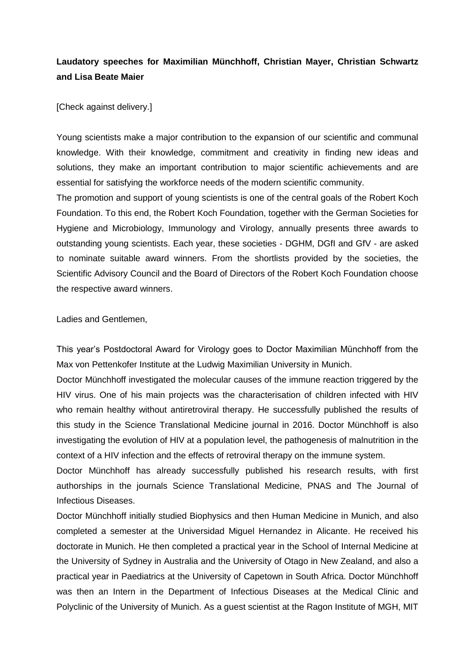## **Laudatory speeches for Maximilian Münchhoff, Christian Mayer, Christian Schwartz and Lisa Beate Maier**

[Check against delivery.]

Young scientists make a major contribution to the expansion of our scientific and communal knowledge. With their knowledge, commitment and creativity in finding new ideas and solutions, they make an important contribution to major scientific achievements and are essential for satisfying the workforce needs of the modern scientific community.

The promotion and support of young scientists is one of the central goals of the Robert Koch Foundation. To this end, the Robert Koch Foundation, together with the German Societies for Hygiene and Microbiology, Immunology and Virology, annually presents three awards to outstanding young scientists. Each year, these societies - DGHM, DGfI and GfV - are asked to nominate suitable award winners. From the shortlists provided by the societies, the Scientific Advisory Council and the Board of Directors of the Robert Koch Foundation choose the respective award winners.

Ladies and Gentlemen,

This year's Postdoctoral Award for Virology goes to Doctor Maximilian Münchhoff from the Max von Pettenkofer Institute at the Ludwig Maximilian University in Munich.

Doctor Münchhoff investigated the molecular causes of the immune reaction triggered by the HIV virus. One of his main projects was the characterisation of children infected with HIV who remain healthy without antiretroviral therapy. He successfully published the results of this study in the Science Translational Medicine journal in 2016. Doctor Münchhoff is also investigating the evolution of HIV at a population level, the pathogenesis of malnutrition in the context of a HIV infection and the effects of retroviral therapy on the immune system.

Doctor Münchhoff has already successfully published his research results, with first authorships in the journals Science Translational Medicine, PNAS and The Journal of Infectious Diseases.

Doctor Münchhoff initially studied Biophysics and then Human Medicine in Munich, and also completed a semester at the Universidad Miguel Hernandez in Alicante. He received his doctorate in Munich. He then completed a practical year in the School of Internal Medicine at the University of Sydney in Australia and the University of Otago in New Zealand, and also a practical year in Paediatrics at the University of Capetown in South Africa. Doctor Münchhoff was then an Intern in the Department of Infectious Diseases at the Medical Clinic and Polyclinic of the University of Munich. As a guest scientist at the Ragon Institute of MGH, MIT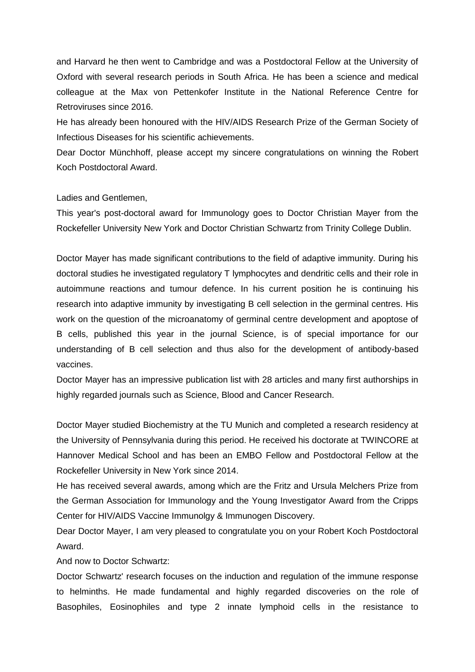and Harvard he then went to Cambridge and was a Postdoctoral Fellow at the University of Oxford with several research periods in South Africa. He has been a science and medical colleague at the Max von Pettenkofer Institute in the National Reference Centre for Retroviruses since 2016.

He has already been honoured with the HIV/AIDS Research Prize of the German Society of Infectious Diseases for his scientific achievements.

Dear Doctor Münchhoff, please accept my sincere congratulations on winning the Robert Koch Postdoctoral Award.

Ladies and Gentlemen,

This year's post-doctoral award for Immunology goes to Doctor Christian Mayer from the Rockefeller University New York and Doctor Christian Schwartz from Trinity College Dublin.

Doctor Mayer has made significant contributions to the field of adaptive immunity. During his doctoral studies he investigated regulatory T lymphocytes and dendritic cells and their role in autoimmune reactions and tumour defence. In his current position he is continuing his research into adaptive immunity by investigating B cell selection in the germinal centres. His work on the question of the microanatomy of germinal centre development and apoptose of B cells, published this year in the journal Science, is of special importance for our understanding of B cell selection and thus also for the development of antibody-based vaccines.

Doctor Mayer has an impressive publication list with 28 articles and many first authorships in highly regarded journals such as Science, Blood and Cancer Research.

Doctor Mayer studied Biochemistry at the TU Munich and completed a research residency at the University of Pennsylvania during this period. He received his doctorate at TWINCORE at Hannover Medical School and has been an EMBO Fellow and Postdoctoral Fellow at the Rockefeller University in New York since 2014.

He has received several awards, among which are the Fritz and Ursula Melchers Prize from the German Association for Immunology and the Young Investigator Award from the Cripps Center for HIV/AIDS Vaccine Immunolgy & Immunogen Discovery.

Dear Doctor Mayer, I am very pleased to congratulate you on your Robert Koch Postdoctoral Award.

And now to Doctor Schwartz:

Doctor Schwartz' research focuses on the induction and regulation of the immune response to helminths. He made fundamental and highly regarded discoveries on the role of Basophiles, Eosinophiles and type 2 innate lymphoid cells in the resistance to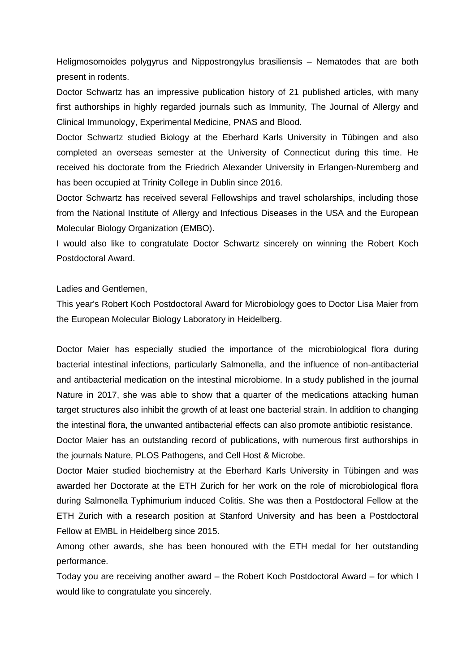Heligmosomoides polygyrus and Nippostrongylus brasiliensis – Nematodes that are both present in rodents.

Doctor Schwartz has an impressive publication history of 21 published articles, with many first authorships in highly regarded journals such as Immunity, The Journal of Allergy and Clinical Immunology, Experimental Medicine, PNAS and Blood.

Doctor Schwartz studied Biology at the Eberhard Karls University in Tübingen and also completed an overseas semester at the University of Connecticut during this time. He received his doctorate from the Friedrich Alexander University in Erlangen-Nuremberg and has been occupied at Trinity College in Dublin since 2016.

Doctor Schwartz has received several Fellowships and travel scholarships, including those from the National Institute of Allergy and Infectious Diseases in the USA and the European Molecular Biology Organization (EMBO).

I would also like to congratulate Doctor Schwartz sincerely on winning the Robert Koch Postdoctoral Award.

Ladies and Gentlemen,

This year's Robert Koch Postdoctoral Award for Microbiology goes to Doctor Lisa Maier from the European Molecular Biology Laboratory in Heidelberg.

Doctor Maier has especially studied the importance of the microbiological flora during bacterial intestinal infections, particularly Salmonella, and the influence of non-antibacterial and antibacterial medication on the intestinal microbiome. In a study published in the journal Nature in 2017, she was able to show that a quarter of the medications attacking human target structures also inhibit the growth of at least one bacterial strain. In addition to changing the intestinal flora, the unwanted antibacterial effects can also promote antibiotic resistance.

Doctor Maier has an outstanding record of publications, with numerous first authorships in the journals Nature, PLOS Pathogens, and Cell Host & Microbe.

Doctor Maier studied biochemistry at the Eberhard Karls University in Tübingen and was awarded her Doctorate at the ETH Zurich for her work on the role of microbiological flora during Salmonella Typhimurium induced Colitis. She was then a Postdoctoral Fellow at the ETH Zurich with a research position at Stanford University and has been a Postdoctoral Fellow at EMBL in Heidelberg since 2015.

Among other awards, she has been honoured with the ETH medal for her outstanding performance.

Today you are receiving another award – the Robert Koch Postdoctoral Award – for which I would like to congratulate you sincerely.